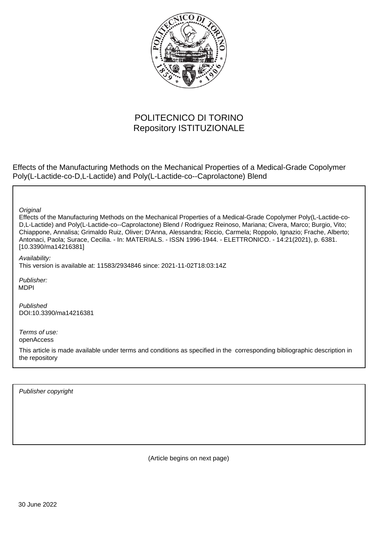

# POLITECNICO DI TORINO Repository ISTITUZIONALE

Effects of the Manufacturing Methods on the Mechanical Properties of a Medical-Grade Copolymer Poly(L-Lactide-co-D,L-Lactide) and Poly(L-Lactide-co--Caprolactone) Blend

**Original** 

Effects of the Manufacturing Methods on the Mechanical Properties of a Medical-Grade Copolymer Poly(L-Lactide-co-D,L-Lactide) and Poly(L-Lactide-co--Caprolactone) Blend / Rodriguez Reinoso, Mariana; Civera, Marco; Burgio, Vito; Chiappone, Annalisa; Grimaldo Ruiz, Oliver; D'Anna, Alessandra; Riccio, Carmela; Roppolo, Ignazio; Frache, Alberto; Antonaci, Paola; Surace, Cecilia. - In: MATERIALS. - ISSN 1996-1944. - ELETTRONICO. - 14:21(2021), p. 6381. [10.3390/ma14216381]

Availability: This version is available at: 11583/2934846 since: 2021-11-02T18:03:14Z

Publisher: MDPI

Published DOI:10.3390/ma14216381

Terms of use: openAccess

This article is made available under terms and conditions as specified in the corresponding bibliographic description in the repository

Publisher copyright

(Article begins on next page)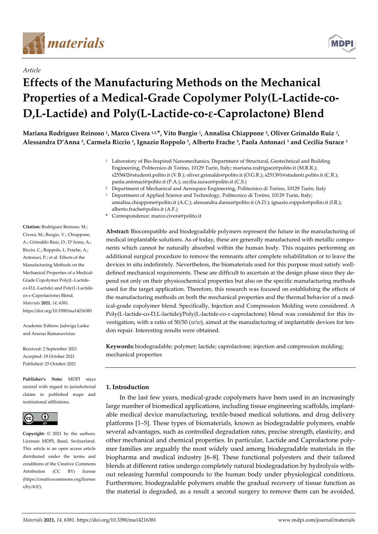

*Article*



# **Effects of the Manufacturing Methods on the Mechanical Properties of a Medical-Grade Copolymer Poly(L-Lactide-co-D,L-Lactide) and Poly(L-Lactide-co-ε-Caprolactone) Blend**

Mariana Rodriguez Reinoso <sup>1</sup>, Marco Civera 12.\*, Vito Burgio 1, Annalisa Chiappone <sup>3</sup>, Oliver Grimaldo Ruiz 1, **Alessandra D'Anna <sup>3</sup> , Carmela Riccio <sup>1</sup> , Ignazio Roppolo <sup>3</sup> , Alberto Frache <sup>3</sup> , Paola Antonaci <sup>1</sup> and Cecilia Surace <sup>1</sup>**

- <sup>1</sup> Laboratory of Bio-Inspired Nanomechanics, Department of Structural, Geotechnical and Building Engineering, Politecnico di Torino, 10129 Turin, Italy; mariana.rodriguez@polito.it (M.R.R.); s255602@studenti.polito.it (V.B.); oliver.grimaldo@polito.it (O.G.R.); s251391@studenti.polito.it (C.R.); paola.antonaci@polito.it (P.A.); cecilia.surace@polito.it (C.S.)
- <sup>2</sup> Department of Mechanical and Aerospace Engineering, Politecnico di Torino, 10129 Turin, Italy
- <sup>3</sup> Department of Applied Science and Technology, Politecnico di Torino, 10129 Turin, Italy;
- annalisa.chiappone@polito.it (A.C.); alessandra.danna@polito.it (A.D.); ignazio.roppolo@polito.it (I.R.); alberto.frache@polito.it (A.F.)
- **\*** Correspondence: marco.civera@polito.it

**Abstract:** Biocompatible and biodegradable polymers represent the future in the manufacturing of medical implantable solutions. As of today, these are generally manufactured with metallic components which cannot be naturally absorbed within the human body. This requires performing an additional surgical procedure to remove the remnants after complete rehabilitation or to leave the devices in situ indefinitely. Nevertheless, the biomaterials used for this purpose must satisfy welldefined mechanical requirements. These are difficult to ascertain at the design phase since they depend not only on their physicochemical properties but also on the specific manufacturing methods used for the target application. Therefore, this research was focused on establishing the effects of the manufacturing methods on both the mechanical properties and the thermal behavior of a medical-grade copolymer blend. Specifically, Injection and Compression Molding were considered. A Poly(L-lactide-co-D,L-lactide)/Poly(L-lactide-co-ε-caprolactone) blend was considered for this investigation, with a ratio of 50/50 (*w/w*), aimed at the manufacturing of implantable devices for tendon repair. Interesting results were obtained.

**Keywords:** biodegradable; polymer; lactide; caprolactone; injection and compression molding; mechanical properties

### **1. Introduction**

In the last few years, medical-grade copolymers have been used in an increasingly large number of biomedical applications, including tissue engineering scaffolds, implantable medical device manufacturing, textile-based medical solutions, and drug delivery platforms [1–5]. These types of biomaterials, known as biodegradable polymers, enable several advantages, such as controlled degradation rates, precise strength, elasticity, and other mechanical and chemical properties. In particular, Lactide and Caprolactone polymer families are arguably the most widely used among biodegradable materials in the biopharma and medical industry [6–8]. These functional polyesters and their tailored blends at different ratios undergo completely natural biodegradation by hydrolysis without releasing harmful compounds to the human body under physiological conditions. Furthermore, biodegradable polymers enable the gradual recovery of tissue function as the material is degraded, as a result a second surgery to remove them can be avoided,

**Citation:** Rodriguez Reinoso, M.; Civera, M.; Burgio, V.; Chiappone, A.; Grimaldo Ruiz, O.; D'Anna, A.; Riccio, C.; Roppolo, I.; Frache, A.; Antonaci, P.; et al. Effects of the Manufacturing Methods on the Mechanical Properties of a Medical-Grade Copolymer Poly(L-Lactideco-D,L-Lactide) and Poly(L-Lactideco-ε-Caprolactone) Blend. *Materials* **2021**, *14*, 6381. https://doi.org/10.3390/ma14216381

Academic Editors: Jadwiga Laska and Arunas Ramanavicius

Received: 2 September 2021 Accepted: 19 October 2021 Published: 25 October 2021

**Publisher's Note:** MDPI stays neutral with regard to jurisdictional claims in published maps and institutional affiliations.



**Copyright:** © 2021 by the authors. Licensee MDPI, Basel, Switzerland. This article is an open access article distributed under the terms and conditions of the Creative Commons Attribution (CC BY) license (https://creativecommons.org/license s/by/4.0/).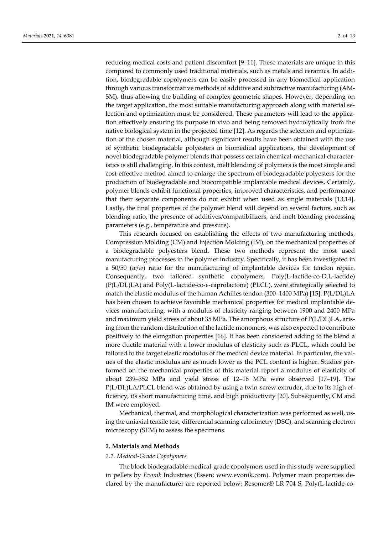reducing medical costs and patient discomfort [9–11]. These materials are unique in this compared to commonly used traditional materials, such as metals and ceramics. In addition, biodegradable copolymers can be easily processed in any biomedical application through various transformative methods of additive and subtractive manufacturing (AM-SM), thus allowing the building of complex geometric shapes. However, depending on the target application, the most suitable manufacturing approach along with material selection and optimization must be considered. These parameters will lead to the application effectively ensuring its purpose in vivo and being removed hydrolytically from the native biological system in the projected time [12]. As regards the selection and optimization of the chosen material, although significant results have been obtained with the use of synthetic biodegradable polyesters in biomedical applications, the development of novel biodegradable polymer blends that possess certain chemical-mechanical characteristics is still challenging. In this context, melt blending of polymers is the most simple and cost-effective method aimed to enlarge the spectrum of biodegradable polyesters for the production of biodegradable and biocompatible implantable medical devices. Certainly, polymer blends exhibit functional properties, improved characteristics, and performance that their separate components do not exhibit when used as single materials [13,14]. Lastly, the final properties of the polymer blend will depend on several factors, such as blending ratio, the presence of additives/compatibilizers, and melt blending processing parameters (e.g., temperature and pressure).

This research focused on establishing the effects of two manufacturing methods, Compression Molding (CM) and Injection Molding (IM), on the mechanical properties of a biodegradable polyesters blend. These two methods represent the most used manufacturing processes in the polymer industry. Specifically, it has been investigated in a 50/50 (*w*/*w*) ratio for the manufacturing of implantable devices for tendon repair. Consequently, two tailored synthetic copolymers, Poly(L-lactide-co-D,L-lactide) (P(L/DL)LA) and Poly(L-lactide-co-ε-caprolactone) (PLCL), were strategically selected to match the elastic modulus of the human Achilles tendon (300–1400 MPa) [15]. P(L/DL)LA has been chosen to achieve favorable mechanical properties for medical implantable devices manufacturing, with a modulus of elasticity ranging between 1900 and 2400 MPa and maximum yield stress of about 35 MPa. The amorphous structure of P(L/DL)LA, arising from the random distribution of the lactide monomers, was also expected to contribute positively to the elongation properties [16]. It has been considered adding to the blend a more ductile material with a lower modulus of elasticity such as PLCL, which could be tailored to the target elastic modulus of the medical device material. In particular, the values of the elastic modulus are as much lower as the PCL content is higher. Studies performed on the mechanical properties of this material report a modulus of elasticity of about 239–352 MPa and yield stress of 12–16 MPa were observed [17–19]. The P(L/DL)LA/PLCL blend was obtained by using a twin-screw extruder, due to its high efficiency, its short manufacturing time, and high productivity [20]. Subsequently, CM and IM were employed.

Mechanical, thermal, and morphological characterization was performed as well, using the uniaxial tensile test, differential scanning calorimetry (DSC), and scanning electron microscopy (SEM) to assess the specimens.

#### *2.* **Materials and Methods**

#### *2.1. Medical-Grade Copolymers*

The block biodegradable medical-grade copolymers used in this study were supplied in pellets by *Evonik* Industries (Essen; www.evonik.com). Polymer main properties declared by the manufacturer are reported below: Resomer®️ LR 704 S, Poly(L-lactide-co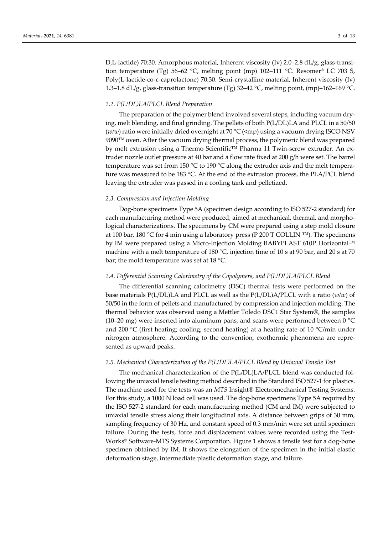D,L-lactide) 70:30. Amorphous material, Inherent viscosity (Iv) 2.0–2.8 dL/g, glass-transition temperature (Tg) 56–62 °C, melting point (mp) 102–111 °C. Resomer<sup>®</sup> LC 703 S, Poly(L-lactide-co-ε-caprolactone) 70:30. Semi-crystalline material, Inherent viscosity (Iv) 1.3–1.8 dL/g, glass-transition temperature (Tg) 32–42 °C, melting point, (mp)–162–169 °C.

#### *2.2. P(L/DL)LA/PLCL Blend Preparation*

The preparation of the polymer blend involved several steps, including vacuum drying, melt blending, and final grinding. The pellets of both P(L/DL)LA and PLCL in a 50/50 (*w/w*) ratio were initially dried overnight at 70 °C (<mp) using a vacuum drying ISCO NSV  $9090^{\text{TM}}$  oven. After the vacuum drying thermal process, the polymeric blend was prepared by melt extrusion using a Thermo Scientific™ Pharma 11 Twin-screw extruder. An extruder nozzle outlet pressure at 40 bar and a flow rate fixed at 200 g/h were set. The barrel temperature was set from 150 °C to 190 °C along the extruder axis and the melt temperature was measured to be 183 °C. At the end of the extrusion process, the PLA/PCL blend leaving the extruder was passed in a cooling tank and pelletized.

#### *2.3. Compression and Injection Molding*

Dog-bone specimens Type 5A (specimen design according to ISO 527-2 standard) for each manufacturing method were produced, aimed at mechanical, thermal, and morphological characterizations. The specimens by CM were prepared using a step mold closure at 100 bar, 180 °C for 4 min using a laboratory press (P 200 T COLLIN <sup>™</sup>). The specimens by IM were prepared using a Micro-Injection Molding BABYPLAST 610P Horizontal™ machine with a melt temperature of 180 °C, injection time of 10 s at 90 bar, and 20 s at 70 bar; the mold temperature was set at 18 °C.

#### *2.4. Differential Scanning Calorimetry of the Copolymers, and P(L/DL)LA/PLCL Blend*

The differential scanning calorimetry (DSC) thermal tests were performed on the base materials P(L/DL)LA and PLCL as well as the P(L/DL)A/PLCL with a ratio (*w/w*) of 50/50 in the form of pellets and manufactured by compression and injection molding. The thermal behavior was observed using a Mettler Toledo DSC1 Star System®️, the samples (10–20 mg) were inserted into aluminum pans, and scans were performed between 0 °C and 200  $^{\circ}$ C (first heating; cooling; second heating) at a heating rate of 10  $^{\circ}$ C/min under nitrogen atmosphere. According to the convention, exothermic phenomena are represented as upward peaks.

#### *2.5. Mechanical Characterization of the P(L/DL)LA/PLCL Blend by Uniaxial Tensile Test*

The mechanical characterization of the P(L/DL)LA/PLCL blend was conducted following the uniaxial tensile testing method described in the Standard ISO 527-1 for plastics. The machine used for the tests was an *MTS* Insight®️ Electromechanical Testing Systems. For this study, a 1000 N load cell was used. The dog-bone specimens Type 5A required by the ISO 527-2 standard for each manufacturing method (CM and IM) were subjected to uniaxial tensile stress along their longitudinal axis. A distance between grips of 30 mm, sampling frequency of 30 Hz, and constant speed of 0.3 mm/min were set until specimen failure. During the tests, force and displacement values were recorded using the Test-Works® Software-MTS Systems Corporation. Figure 1 shows a tensile test for a dog-bone specimen obtained by IM. It shows the elongation of the specimen in the initial elastic deformation stage, intermediate plastic deformation stage, and failure.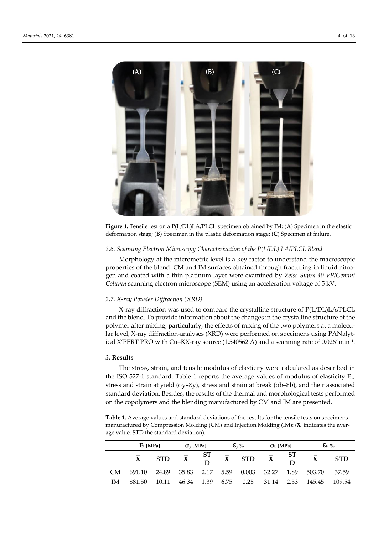

Figure 1. Tensile test on a P(L/DL)LA/PLCL specimen obtained by IM: (A) Specimen in the elastic deformation stage; (**B**) Specimen in the plastic deformation stage; (**C**) Specimen at failure.

# *2.6. Scanning Electron Microscopy Characterization of the P(L/DL) LA/PLCL Blend*

Morphology at the micrometric level is a key factor to understand the macroscopic properties of the blend. CM and IM surfaces obtained through fracturing in liquid nitrogen and coated with a thin platinum layer were examined by *Zeiss-Supra 40 VP/Gemini Column* scanning electron microscope (SEM) using an acceleration voltage of 5 kV.

#### *2.7. X-ray Powder Diffraction (XRD)*

X-ray diffraction was used to compare the crystalline structure of P(L/DL)LA/PLCL and the blend. To provide information about the changes in the crystalline structure of the polymer after mixing, particularly, the effects of mixing of the two polymers at a molecular level, X-ray diffraction-analyses (XRD) were performed on specimens using PANalytical X'PERT PRO with Cu–KX-ray source (1.540562 Å) and a scanning rate of 0.026°min−1 .

#### *3.* **Results**

The stress, strain, and tensile modulus of elasticity were calculated as described in the ISO 527-1 standard. Table 1 reports the average values of modulus of elasticity Et, stress and strain at yield (σy-εγ), stress and strain at break (σb-εb), and their associated standard deviation. Besides, the results of the thermal and morphological tests performed on the copolymers and the blending manufactured by CM and IM are presented.

**Table 1.** Average values and standard deviations of the results for the tensile tests on specimens manufactured by Compression Molding (CM) and Injection Molding (IM):  $(\bar{X})$  indicates the average value, STD the standard deviation).

|     | $E_t$ [MPa] |            | $\sigma_{\rm v}$ [MPa] |                                                   | $\mathbf{\mathcal{E}}_{\text{v}}\%$ |                    | $Ob$ [MPa]              |         | $\mathcal{E}_{\mathrm{b}}$ % |            |
|-----|-------------|------------|------------------------|---------------------------------------------------|-------------------------------------|--------------------|-------------------------|---------|------------------------------|------------|
|     |             | <b>STD</b> | $\bar{\mathbf{X}}$     | $\begin{array}{c} {\bf ST} \ {\bf D} \end{array}$ | $\bar{\mathbf{X}}$                  | <b>STD</b>         | $\overline{\mathbf{X}}$ | ST<br>D |                              | <b>STD</b> |
| CM. | 691.10      | 24.89      | 35.83                  | 2.17                                              |                                     | 5.59  0.003  32.27 |                         | 1.89    | 503.70                       | 37.59      |
| ΙM  | 881.50      | 10.11      | 46.34                  | 1.39                                              | 6.75                                | 0.25               | 31.14                   | 2.53    | 145.45                       | 109.54     |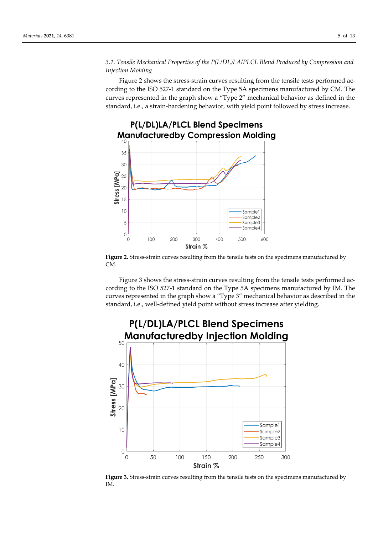# *3.1. Tensile Mechanical Properties of the P(L/DL)LA/PLCL Blend Produced by Compression and Injection Molding*

Figure 2 shows the stress-strain curves resulting from the tensile tests performed according to the ISO 527-1 standard on the Type 5A specimens manufactured by CM. The curves represented in the graph show a "Type 2" mechanical behavior as defined in the standard, i.e., a strain-hardening behavior, with yield point followed by stress increase.



**Figure 2.** Stress-strain curves resulting from the tensile tests on the specimens manufactured by CM.

Figure 3 shows the stress-strain curves resulting from the tensile tests performed according to the ISO 527-1 standard on the Type 5A specimens manufactured by IM. The curves represented in the graph show a "Type 3" mechanical behavior as described in the standard, i.e., well-defined yield point without stress increase after yielding.



**Figure 3.** Stress-strain curves resulting from the tensile tests on the specimens manufactured by IM.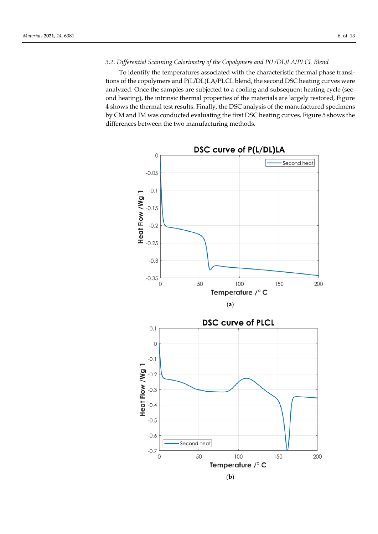## *3.2. Differential Scanning Calorimetry of the Copolymers and P(L/DL)LA/PLCL Blend*

To identify the temperatures associated with the characteristic thermal phase transitions of the copolymers and P(L/DL)LA/PLCL blend, the second DSC heating curves were analyzed. Once the samples are subjected to a cooling and subsequent heating cycle (second heating), the intrinsic thermal properties of the materials are largely restored, Figure 4 shows the thermal test results. Finally, the DSC analysis of the manufactured specimens by CM and IM was conducted evaluating the first DSC heating curves. Figure 5 shows the differences between the two manufacturing methods.

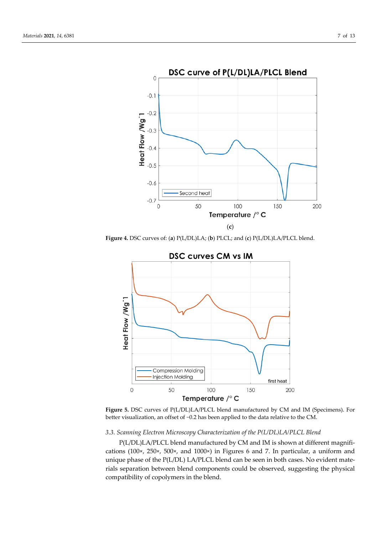

**Figure 4.** DSC curves of: (**a**) P(L/DL)LA; (**b**) PLCL; and (**c**) P(L/DL)LA/PLCL blend.



**Figure 5.** DSC curves of P(L/DL)LA/PLCL blend manufactured by CM and IM (Specimens). For better visualization, an offset of −0.2 has been applied to the data relative to the CM.

#### *3.3. Scanning Electron Microscopy Characterization of the P(L/DL)LA/PLCL Blend*

P(L/DL)LA/PLCL blend manufactured by CM and IM is shown at different magnifications (100×, 250×, 500×, and 1000×) in Figures 6 and 7. In particular, a uniform and unique phase of the P(L/DL) LA/PLCL blend can be seen in both cases. No evident materials separation between blend components could be observed, suggesting the physical compatibility of copolymers in the blend.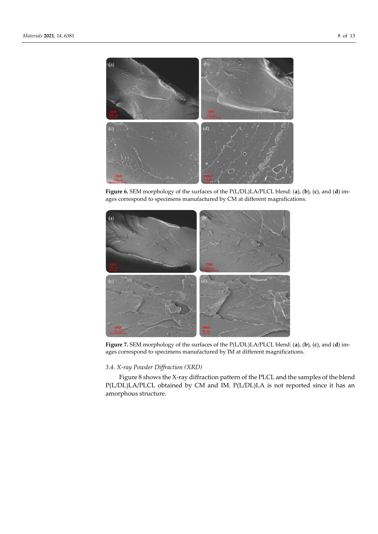

**Figure 6.** SEM morphology of the surfaces of the P(L/DL)LA/PLCL blend: (**a**), (**b**), (**c**), and (**d**) images correspond to specimens manufactured by CM at different magnifications.



**Figure 7.** SEM morphology of the surfaces of the P(L/DL)LA/PLCL blend: (**a**), (**b**), (**c**), and (**d**) images correspond to specimens manufactured by IM at different magnifications.

# *3.4. X-ray Powder Diffraction (XRD)*

Figure 8 shows the X-ray diffraction pattern of the PLCL and the samples of the blend P(L/DL)LA/PLCL obtained by CM and IM. P(L/DL)LA is not reported since it has an amorphous structure.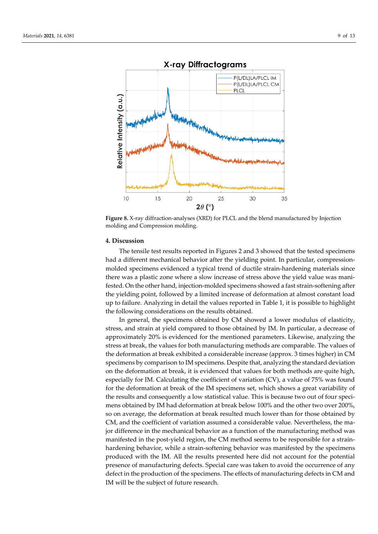

X-ray Diffractograms

**Figure 8.** X-ray diffraction-analyses (XRD) for PLCL and the blend manufactured by Injection molding and Compression molding.

#### **4. Discussion**

The tensile test results reported in Figures 2 and 3 showed that the tested specimens had a different mechanical behavior after the yielding point. In particular, compressionmolded specimens evidenced a typical trend of ductile strain-hardening materials since there was a plastic zone where a slow increase of stress above the yield value was manifested. On the other hand, injection-molded specimens showed a fast strain-softening after the yielding point, followed by a limited increase of deformation at almost constant load up to failure. Analyzing in detail the values reported in Table 1, it is possible to highlight the following considerations on the results obtained.

In general, the specimens obtained by CM showed a lower modulus of elasticity, stress, and strain at yield compared to those obtained by IM. In particular, a decrease of approximately 20% is evidenced for the mentioned parameters. Likewise, analyzing the stress at break, the values for both manufacturing methods are comparable. The values of the deformation at break exhibited a considerable increase (approx. 3 times higher) in CM specimens by comparison to IM specimens. Despite that, analyzing the standard deviation on the deformation at break, it is evidenced that values for both methods are quite high, especially for IM. Calculating the coefficient of variation (CV), a value of 75% was found for the deformation at break of the IM specimens set, which shows a great variability of the results and consequently a low statistical value. This is because two out of four specimens obtained by IM had deformation at break below 100% and the other two over 200%, so on average, the deformation at break resulted much lower than for those obtained by CM, and the coefficient of variation assumed a considerable value. Nevertheless, the major difference in the mechanical behavior as a function of the manufacturing method was manifested in the post-yield region, the CM method seems to be responsible for a strainhardening behavior, while a strain-softening behavior was manifested by the specimens produced with the IM. All the results presented here did not account for the potential presence of manufacturing defects. Special care was taken to avoid the occurrence of any defect in the production of the specimens. The effects of manufacturing defects in CM and IM will be the subject of future research.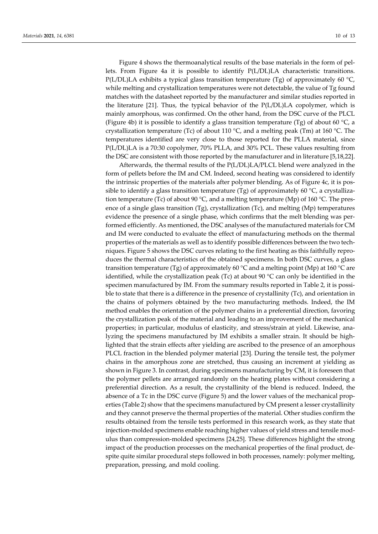Figure 4 shows the thermoanalytical results of the base materials in the form of pellets. From Figure 4a it is possible to identify P(L/DL)LA characteristic transitions. P(L/DL)LA exhibits a typical glass transition temperature (Tg) of approximately 60 °C, while melting and crystallization temperatures were not detectable, the value of Tg found matches with the datasheet reported by the manufacturer and similar studies reported in the literature [21]. Thus, the typical behavior of the P(L/DL)LA copolymer, which is mainly amorphous, was confirmed. On the other hand, from the DSC curve of the PLCL (Figure 4b) it is possible to identify a glass transition temperature (Tg) of about 60  $\degree$ C, a crystallization temperature (Tc) of about 110  $^{\circ}$ C, and a melting peak (Tm) at 160  $^{\circ}$ C. The temperatures identified are very close to those reported for the PLLA material, since P(L/DL)LA is a 70:30 copolymer, 70% PLLA, and 30% PCL. These values resulting from the DSC are consistent with those reported by the manufacturer and in literature [5,18,22].

Afterwards, the thermal results of the P(L/DL)LA/PLCL blend were analyzed in the form of pellets before the IM and CM. Indeed, second heating was considered to identify the intrinsic properties of the materials after polymer blending. As of Figure 4c, it is possible to identify a glass transition temperature (Tg) of approximately 60  $\degree$ C, a crystallization temperature (Tc) of about 90 °C, and a melting temperature (Mp) of 160 °C. The presence of a single glass transition (Tg), crystallization (Tc), and melting (Mp) temperatures evidence the presence of a single phase, which confirms that the melt blending was performed efficiently. As mentioned, the DSC analyses of the manufactured materials for CM and IM were conducted to evaluate the effect of manufacturing methods on the thermal properties of the materials as well as to identify possible differences between the two techniques. Figure 5 shows the DSC curves relating to the first heating as this faithfully reproduces the thermal characteristics of the obtained specimens. In both DSC curves, a glass transition temperature (Tg) of approximately 60 °C and a melting point (Mp) at 160 °C are identified, while the crystallization peak (Tc) at about 90  $^{\circ}$ C can only be identified in the specimen manufactured by IM. From the summary results reported in Table 2, it is possible to state that there is a difference in the presence of crystallinity (Tc), and orientation in the chains of polymers obtained by the two manufacturing methods. Indeed, the IM method enables the orientation of the polymer chains in a preferential direction, favoring the crystallization peak of the material and leading to an improvement of the mechanical properties; in particular, modulus of elasticity, and stress/strain at yield. Likewise, analyzing the specimens manufactured by IM exhibits a smaller strain. It should be highlighted that the strain effects after yielding are ascribed to the presence of an amorphous PLCL fraction in the blended polymer material [23]. During the tensile test, the polymer chains in the amorphous zone are stretched, thus causing an increment at yielding as shown in Figure 3. In contrast, during specimens manufacturing by CM, it is foreseen that the polymer pellets are arranged randomly on the heating plates without considering a preferential direction. As a result, the crystallinity of the blend is reduced. Indeed, the absence of a Tc in the DSC curve (Figure 5) and the lower values of the mechanical properties (Table 2) show that the specimens manufactured by CM present a lesser crystallinity and they cannot preserve the thermal properties of the material. Other studies confirm the results obtained from the tensile tests performed in this research work, as they state that injection-molded specimens enable reaching higher values of yield stress and tensile modulus than compression-molded specimens [24,25]. These differences highlight the strong impact of the production processes on the mechanical properties of the final product, despite quite similar procedural steps followed in both processes, namely: polymer melting, preparation, pressing, and mold cooling.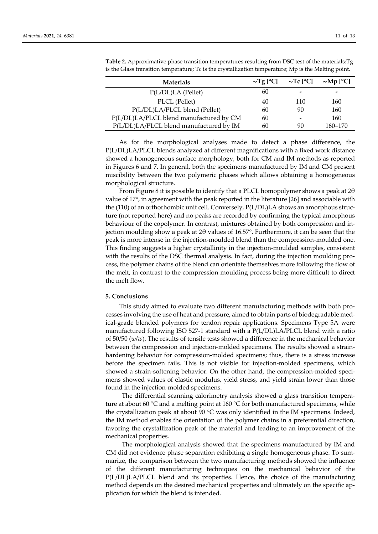| <b>Materials</b>                        |    | $\sim$ Tg [ <sup>o</sup> C] $\sim$ Tc [ <sup>o</sup> C] $\sim$ Mp [ <sup>o</sup> C] |         |
|-----------------------------------------|----|-------------------------------------------------------------------------------------|---------|
| P(L/DL)LA (Pellet)                      | 60 | $\tilde{\phantom{a}}$                                                               | -       |
| PLCL (Pellet)                           | 40 | 110                                                                                 | 160     |
| P(L/DL)LA/PLCL blend (Pellet)           | 60 | 90                                                                                  | 160     |
| P(L/DL)LA/PLCL blend manufactured by CM | 60 |                                                                                     | 160     |
| P(L/DL)LA/PLCL blend manufactured by IM | 60 | 90                                                                                  | 160-170 |

**Table 2.** Approximative phase transition temperatures resulting from DSC test of the materials:Tg is the Glass transition temperature; Tc is the crystallization temperature; Mp is the Melting point.

As for the morphological analyses made to detect a phase difference, the P(L/DL)LA/PLCL blends analyzed at different magnifications with a fixed work distance showed a homogeneous surface morphology, both for CM and IM methods as reported in Figures 6 and 7. In general, both the specimens manufactured by IM and CM present miscibility between the two polymeric phases which allows obtaining a homogeneous morphological structure.

From Figure 8 it is possible to identify that a PLCL homopolymer shows a peak at 2θ value of 17°, in agreement with the peak reported in the literature [26] and associable with the (110) of an orthorhombic unit cell. Conversely, P(L/DL)LA shows an amorphous structure (not reported here) and no peaks are recorded by confirming the typical amorphous behaviour of the copolymer. In contrast, mixtures obtained by both compression and injection moulding show a peak at 2θ values of 16.57°. Furthermore, it can be seen that the peak is more intense in the injection-moulded blend than the compression-moulded one. This finding suggests a higher crystallinity in the injection-moulded samples, consistent with the results of the DSC thermal analysis. In fact, during the injection moulding process, the polymer chains of the blend can orientate themselves more following the flow of the melt, in contrast to the compression moulding process being more difficult to direct the melt flow.

#### **5. Conclusions**

This study aimed to evaluate two different manufacturing methods with both processes involving the use of heat and pressure, aimed to obtain parts of biodegradable medical-grade blended polymers for tendon repair applications. Specimens Type 5A were manufactured following ISO 527-1 standard with a P(L/DL)LA/PLCL blend with a ratio of 50/50 (*w*/*w*). The results of tensile tests showed a difference in the mechanical behavior between the compression and injection-molded specimens. The results showed a strainhardening behavior for compression-molded specimens; thus, there is a stress increase before the specimen fails. This is not visible for injection-molded specimens, which showed a strain-softening behavior. On the other hand, the compression-molded specimens showed values of elastic modulus, yield stress, and yield strain lower than those found in the injection-molded specimens.

The differential scanning calorimetry analysis showed a glass transition temperature at about 60 °C and a melting point at 160 °C for both manufactured specimens, while the crystallization peak at about 90  $\degree$ C was only identified in the IM specimens. Indeed, the IM method enables the orientation of the polymer chains in a preferential direction, favoring the crystallization peak of the material and leading to an improvement of the mechanical properties.

The morphological analysis showed that the specimens manufactured by IM and CM did not evidence phase separation exhibiting a single homogeneous phase. To summarize, the comparison between the two manufacturing methods showed the influence of the different manufacturing techniques on the mechanical behavior of the P(L/DL)LA/PLCL blend and its properties. Hence, the choice of the manufacturing method depends on the desired mechanical properties and ultimately on the specific application for which the blend is intended.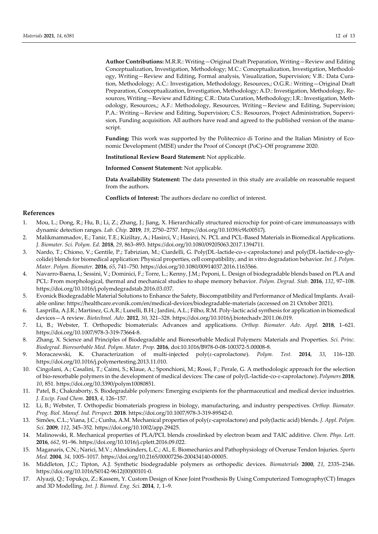**Author Contributions:** M.R.R.: Writing—Original Draft Preparation, Writing—Review and Editing Conceptualization, Investigation, Methodology; M.C.: Conceptualization, Investigation, Methodology, Writing—Review and Editing, Formal analysis, Visualization, Supervision; V.B.: Data Curation, Methodology; A.C.: Investigation, Methodology, Resources,; O.G.R.: Writing—Original Draft Preparation, Conceptualization, Investigation, Methodology; A.D.: Investigation, Methodology, Resources, Writing—Review and Editing; C.R.: Data Curation, Methodology; I.R.: Investigation, Methodology, Resources,; A.F.: Methodology, Resources, Writing—Review and Editing, Supervision; P.A.: Writing—Review and Editing, Supervision; C.S.: Resources, Project Administration, Supervision, Funding acquisition. All authors have read and agreed to the published version of the manuscript.

**Funding:** This work was supported by the Politecnico di Torino and the Italian Ministry of Economic Development (MISE) under the Proof of Concept (PoC)–Off programme 2020.

**Institutional Review Board Statement:** Not applicable.

**Informed Consent Statement:** Not applicable.

**Data Availability Statement:** The data presented in this study are available on reasonable request from the authors.

**Conflicts of Interest:** The authors declare no conflict of interest.

#### **References**

- 1. Mou, L.; Dong, R.; Hu, B.; Li, Z.; Zhang, J.; Jiang, X. Hierarchically structured microchip for point-of-care immunoassays with dynamic detection ranges. *Lab. Chip.* **2019**, *19*, 2750–2757. https://doi.org/10.1039/c9lc00517j.
- 2. Malikmammadov, E.; Tanir, T.E.; Kiziltay, A.; Hasirci, V.; Hasirci, N. PCL and PCL-Based Materials in Biomedical Applications. *J. Biomater. Sci. Polym. Ed.* **2018**, *29*, 863–893. https://doi.org/10.1080/09205063.2017.1394711.
- 3. Nardo, T.; Chiono, V.; Gentile, P.; Tabrizian, M.; Ciardelli, G. Poly(DL-lactide-co-ε-caprolactone) and poly(DL-lactide-co-glycolide) blends for biomedical application: Physical properties, cell compatibility, and in vitro degradation behavior. *Int. J. Polym. Mater. Polym. Biomater.* **2016**, *65*, 741–750. https://doi.org/10.1080/00914037.2016.1163566.
- 4. Navarro-Baena, I.; Sessini, V.; Dominici, F.; Torre, L.; Kenny, J.M.; Peponi, L. Design of biodegradable blends based on PLA and PCL: From morphological, thermal and mechanical studies to shape memory behavior. *Polym. Degrad. Stab.* **2016**, *132*, 97–108. https://doi.org/10.1016/j.polymdegradstab.2016.03.037.
- 5. Evonick Biodegradable Material Solutions to Enhance the Safety, Biocompatibility and Performance of Medical Implants. Available online: https://healthcare.evonik.com/en/medical-devices/biodegradable-materials (accessed on 21 October 2021).
- 6. Lasprilla, A.J.R.; Martinez, G.A.R.; Lunelli, B.H.; Jardini, A.L.; Filho, R.M. Poly-lactic acid synthesis for application in biomedical devices—A review. *Biotechnol. Adv.* **2012**, *30*, 321–328. https://doi.org/10.1016/j.biotechadv.2011.06.019.
- 7. Li, B.; Webster, T. Orthopedic biomaterials: Advances and applications. *Orthop. Biomater. Adv. Appl.* **2018**, 1–621. https://doi.org/10.1007/978-3-319-73664-8.
- 8. Zhang, X. Science and Principles of Biodegradable and Bioresorbable Medical Polymers: Materials and Properties. *Sci. Princ. Biodegrad. Bioresorbable Med. Polym. Mater. Prop.* **2016**, [doi:10.1016/B978-0-08-100372-5.00008-8.](https://doi.org/10.1016/B978-0-08-100372-5.00008-8)
- 9. Moraczewski, K. Characterization of multi-injected poly(ε-caprolactone). *Polym. Test.* **2014**, *33*, 116–120. https://doi.org/10.1016/j.polymertesting.2013.11.010.
- 10. Cingolani, A.; Casalini, T.; Caimi, S.; Klaue, A.; Sponchioni, M.; Rossi, F.; Perale, G. A methodologic approach for the selection of bio-resorbable polymers in the development of medical devices: The case of poly(L-lactide-co-ε-caprolactone). *Polymers* **2018**, *10*, 851. https://doi.org/10.3390/polym10080851.
- 11. Patel, B.; Chakraborty, S. Biodegradable polymers: Emerging excipients for the pharmaceutical and medical device industries. *J. Excip. Food Chem.* **2013**, *4*, 126–157.
- 12. Li, B.; Webster, T. Orthopedic biomaterials progress in biology, manufacturing, and industry perspectives. *Orthop. Biomater. Prog. Biol. Manuf. Ind. Perspect.* **2018**. https://doi.org/10.1007/978-3-319-89542-0.
- 13. Simões, C.L.; Viana, J.C.; Cunha, A.M. Mechanical properties of poly(ε-caprolactone) and poly(lactic acid) blends. *J. Appl. Polym. Sci.* **2009**, *112*, 345–352. https://doi.org/10.1002/app.29425.
- 14. Malinowski, R. Mechanical properties of PLA/PCL blends crosslinked by electron beam and TAIC additive. *Chem. Phys. Lett.* **2016**, *662*, 91–96. https://doi.org/10.1016/j.cplett.2016.09.022.
- 15. Maganaris, C.N.; Narici, M.V.; Almekinders, L.C.; Al., E. Biomechanics and Pathophysiology of Overuse Tendon Injuries. *Sports Med.* **2004**, *34*, 1005–1017. https://doi.org/10.2165/00007256-200434140-00005.
- 16. Middleton, J.C.; Tipton, A.J. Synthetic biodegradable polymers as orthopedic devices. *Biomaterials* **2000**, *21*, 2335–2346. https://doi.org/10.1016/S0142-9612(00)00101-0.
- 17. Alyazji, Q.; Topukçu, Z.; Kassem, Y. Custom Design of Knee Joint Prosthesis By Using Computerized Tomography(CT) Images and 3D Modelling. *Int. J. Biomed. Eng. Sci.* **2014**, *1*, 1–9.